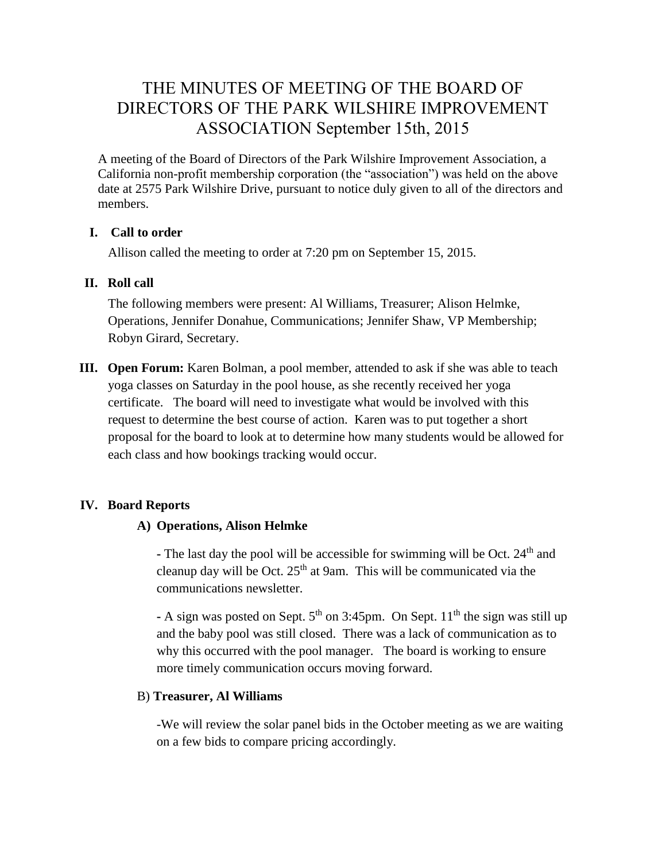# THE MINUTES OF MEETING OF THE BOARD OF DIRECTORS OF THE PARK WILSHIRE IMPROVEMENT ASSOCIATION September 15th, 2015

A meeting of the Board of Directors of the Park Wilshire Improvement Association, a California non-profit membership corporation (the "association") was held on the above date at 2575 Park Wilshire Drive, pursuant to notice duly given to all of the directors and members.

### **I. Call to order**

Allison called the meeting to order at 7:20 pm on September 15, 2015.

### **II. Roll call**

The following members were present: Al Williams, Treasurer; Alison Helmke, Operations, Jennifer Donahue, Communications; Jennifer Shaw, VP Membership; Robyn Girard, Secretary.

**III. Open Forum:** Karen Bolman, a pool member, attended to ask if she was able to teach yoga classes on Saturday in the pool house, as she recently received her yoga certificate. The board will need to investigate what would be involved with this request to determine the best course of action. Karen was to put together a short proposal for the board to look at to determine how many students would be allowed for each class and how bookings tracking would occur.

### **IV. Board Reports**

#### **A) Operations, Alison Helmke**

- The last day the pool will be accessible for swimming will be Oct. 24<sup>th</sup> and cleanup day will be Oct.  $25<sup>th</sup>$  at 9am. This will be communicated via the communications newsletter.

 $\text{-}$  A sign was posted on Sept.  $5^{\text{th}}$  on 3:45pm. On Sept.  $11^{\text{th}}$  the sign was still up and the baby pool was still closed. There was a lack of communication as to why this occurred with the pool manager. The board is working to ensure more timely communication occurs moving forward.

#### B) **Treasurer, Al Williams**

-We will review the solar panel bids in the October meeting as we are waiting on a few bids to compare pricing accordingly.